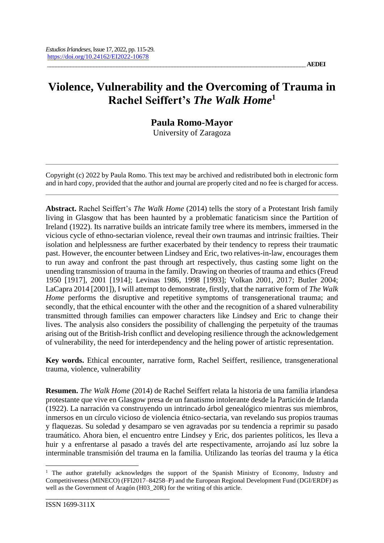# **Violence, Vulnerability and the Overcoming of Trauma in Rachel Seiffert's** *The Walk Home***<sup>1</sup>**

# **Paula Romo-Mayor**

University of Zaragoza

Copyright (c) 2022 by Paula Romo. This text may be archived and redistributed both in electronic form and in hard copy, provided that the author and journal are properly cited and no fee is charged for access.

**Abstract.** Rachel Seiffert's *The Walk Home* (2014) tells the story of a Protestant Irish family living in Glasgow that has been haunted by a problematic fanaticism since the Partition of Ireland (1922). Its narrative builds an intricate family tree where its members, immersed in the vicious cycle of ethno-sectarian violence, reveal their own traumas and intrinsic frailties. Their isolation and helplessness are further exacerbated by their tendency to repress their traumatic past. However, the encounter between Lindsey and Eric, two relatives-in-law, encourages them to run away and confront the past through art respectively, thus casting some light on the unending transmission of trauma in the family. Drawing on theories of trauma and ethics (Freud 1950 [1917], 2001 [1914]; Levinas 1986, 1998 [1993]; Volkan 2001, 2017; Butler 2004; LaCapra 2014 [2001]), I will attempt to demonstrate, firstly, that the narrative form of *The Walk Home* performs the disruptive and repetitive symptoms of transgenerational trauma; and secondly, that the ethical encounter with the other and the recognition of a shared vulnerability transmitted through families can empower characters like Lindsey and Eric to change their lives. The analysis also considers the possibility of challenging the perpetuity of the traumas arising out of the British-Irish conflict and developing resilience through the acknowledgement of vulnerability, the need for interdependency and the heling power of artistic representation.

**Key words.** Ethical encounter, narrative form, Rachel Seiffert, resilience, transgenerational trauma, violence, vulnerability

**Resumen.** *The Walk Home* (2014) de Rachel Seiffert relata la historia de una familia irlandesa protestante que vive en Glasgow presa de un fanatismo intolerante desde la Partición de Irlanda (1922). La narración va construyendo un intrincado árbol genealógico mientras sus miembros, inmersos en un círculo vicioso de violencia étnico-sectaria, van revelando sus propios traumas y flaquezas. Su soledad y desamparo se ven agravadas por su tendencia a reprimir su pasado traumático. Ahora bien, el encuentro entre Lindsey y Eric, dos parientes políticos, les lleva a huir y a enfrentarse al pasado a través del arte respectivamente, arrojando así luz sobre la interminable transmisión del trauma en la familia. Utilizando las teorías del trauma y la ética

 $\overline{a}$ 

<sup>&</sup>lt;sup>1</sup> The author gratefully acknowledges the support of the Spanish Ministry of Economy, Industry and Competitiveness (MINECO) (FFI2017–84258–P) and the European Regional Development Fund (DGI/ERDF) as well as the Government of Aragón (H03\_20R) for the writing of this article.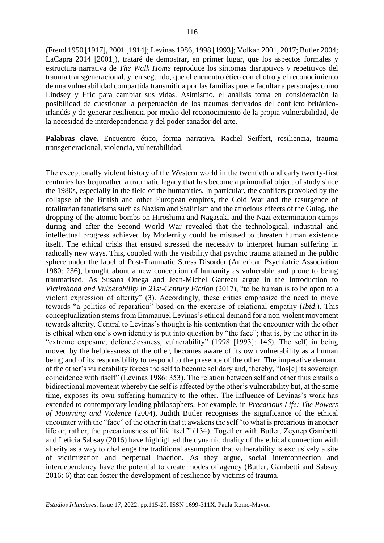(Freud 1950 [1917], 2001 [1914]; Levinas 1986, 1998 [1993]; Volkan 2001, 2017; Butler 2004; LaCapra 2014 [2001]), trataré de demostrar, en primer lugar, que los aspectos formales y estructura narrativa de *The Walk Home* reproduce los síntomas disruptivos y repetitivos del trauma transgeneracional, y, en segundo, que el encuentro ético con el otro y el reconocimiento de una vulnerabilidad compartida transmitida por las familias puede facultar a personajes como Lindsey y Eric para cambiar sus vidas. Asimismo, el análisis toma en consideración la posibilidad de cuestionar la perpetuación de los traumas derivados del conflicto británicoirlandés y de generar resiliencia por medio del reconocimiento de la propia vulnerabilidad, de la necesidad de interdependencia y del poder sanador del arte.

Palabras clave. Encuentro ético, forma narrativa, Rachel Seiffert, resiliencia, trauma transgeneracional, violencia, vulnerabilidad.

The exceptionally violent history of the Western world in the twentieth and early twenty-first centuries has bequeathed a traumatic legacy that has become a primordial object of study since the 1980s, especially in the field of the humanities. In particular, the conflicts provoked by the collapse of the British and other European empires, the Cold War and the resurgence of totalitarian fanaticisms such as Nazism and Stalinism and the atrocious effects of the Gulag, the dropping of the atomic bombs on Hiroshima and Nagasaki and the Nazi extermination camps during and after the Second World War revealed that the technological, industrial and intellectual progress achieved by Modernity could be misused to threaten human existence itself. The ethical crisis that ensued stressed the necessity to interpret human suffering in radically new ways. This, coupled with the visibility that psychic trauma attained in the public sphere under the label of Post-Traumatic Stress Disorder (American Psychiatric Association 1980: 236), brought about a new conception of humanity as vulnerable and prone to being traumatised. As Susana Onega and Jean-Michel Ganteau argue in the Introduction to *Victimhood and Vulnerability in 21st-Century Fiction* (2017), "to be human is to be open to a violent expression of alterity" (3). Accordingly, these critics emphasize the need to move towards "a politics of reparation" based on the exercise of relational empathy (*Ibid*.). This conceptualization stems from Emmanuel Levinas's ethical demand for a non-violent movement towards alterity. Central to Levinas's thought is his contention that the encounter with the other is ethical when one's own identity is put into question by "the face"; that is, by the other in its "extreme exposure, defencelessness, vulnerability" (1998 [1993]: 145). The self, in being moved by the helplessness of the other, becomes aware of its own vulnerability as a human being and of its responsibility to respond to the presence of the other. The imperative demand of the other's vulnerability forces the self to become solidary and, thereby, "los[e] its sovereign coincidence with itself" (Levinas 1986: 353). The relation between self and other thus entails a bidirectional movement whereby the self is affected by the other's vulnerability but, at the same time, exposes its own suffering humanity to the other. The influence of Levinas's work has extended to contemporary leading philosophers. For example, in *Precarious Life: The Powers of Mourning and Violence* (2004), Judith Butler recognises the significance of the ethical encounter with the "face" of the other in that it awakens the self "to what is precarious in another life or, rather, the precariousness of life itself" (134). Together with Butler, Zeynep Gambetti and Leticia Sabsay (2016) have highlighted the dynamic duality of the ethical connection with alterity as a way to challenge the traditional assumption that vulnerability is exclusively a site of victimization and perpetual inaction. As they argue, social interconnection and interdependency have the potential to create modes of agency (Butler, Gambetti and Sabsay 2016: 6) that can foster the development of resilience by victims of trauma.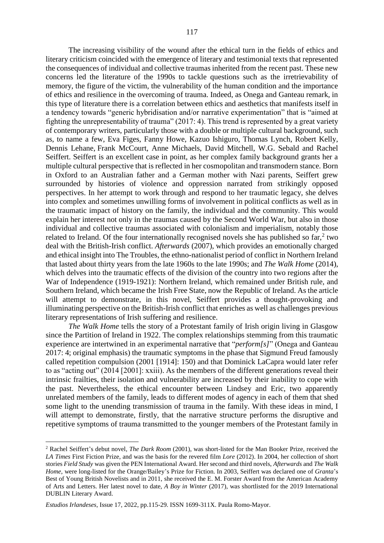The increasing visibility of the wound after the ethical turn in the fields of ethics and literary criticism coincided with the emergence of literary and testimonial texts that represented the consequences of individual and collective traumas inherited from the recent past. These new concerns led the literature of the 1990s to tackle questions such as the irretrievability of memory, the figure of the victim, the vulnerability of the human condition and the importance of ethics and resilience in the overcoming of trauma. Indeed, as Onega and Ganteau remark, in this type of literature there is a correlation between ethics and aesthetics that manifests itself in a tendency towards "generic hybridisation and/or narrative experimentation" that is "aimed at fighting the unrepresentability of trauma" (2017: 4). This trend is represented by a great variety of contemporary writers, particularly those with a double or multiple cultural background, such as, to name a few, Eva Figes, Fanny Howe, Kazuo Ishiguro, Thomas Lynch, Robert Kelly, Dennis Lehane, Frank McCourt, Anne Michaels, David Mitchell, W.G. Sebald and Rachel Seiffert. Seiffert is an excellent case in point, as her complex family background grants her a multiple cultural perspective that is reflected in her cosmopolitan and transmodern stance. Born in Oxford to an Australian father and a German mother with Nazi parents, Seiffert grew surrounded by histories of violence and oppression narrated from strikingly opposed perspectives. In her attempt to work through and respond to her traumatic legacy, she delves into complex and sometimes unwilling forms of involvement in political conflicts as well as in the traumatic impact of history on the family, the individual and the community. This would explain her interest not only in the traumas caused by the Second World War, but also in those individual and collective traumas associated with colonialism and imperialism, notably those related to Ireland. Of the four internationally recognised novels she has published so far, $2$  two deal with the British-Irish conflict. *Afterwards* (2007), which provides an emotionally charged and ethical insight into The Troubles, the ethno-nationalist period of conflict in Northern Ireland that lasted about thirty years from the late 1960s to the late 1990s; and *The Walk Home* (2014), which delves into the traumatic effects of the division of the country into two regions after the War of Independence (1919-1921): Northern Ireland, which remained under British rule, and Southern Ireland, which became the Irish Free State, now the Republic of Ireland. As the article will attempt to demonstrate, in this novel, Seiffert provides a thought-provoking and illuminating perspective on the British-Irish conflict that enriches as well as challenges previous literary representations of Irish suffering and resilience.

*The Walk Home* tells the story of a Protestant family of Irish origin living in Glasgow since the Partition of Ireland in 1922. The complex relationships stemming from this traumatic experience are intertwined in an experimental narrative that "*perform[s]*" (Onega and Ganteau 2017: 4; original emphasis) the traumatic symptoms in the phase that Sigmund Freud famously called repetition compulsion (2001 [1914]: 150) and that Dominick LaCapra would later refer to as "acting out" (2014 [2001]: xxiii). As the members of the different generations reveal their intrinsic frailties, their isolation and vulnerability are increased by their inability to cope with the past. Nevertheless, the ethical encounter between Lindsey and Eric, two apparently unrelated members of the family, leads to different modes of agency in each of them that shed some light to the unending transmission of trauma in the family. With these ideas in mind, I will attempt to demonstrate, firstly, that the narrative structure performs the disruptive and repetitive symptoms of trauma transmitted to the younger members of the Protestant family in

 $\overline{a}$ 

<sup>2</sup> Rachel Seiffert's debut novel, *The Dark Room* (2001), was short-listed for the Man Booker Prize, received the *LA Times* First Fiction Prize, and was the basis for the revered film *Lore* (2012). In 2004, her collection of short stories *Field Study* was given the PEN International Award. Her second and third novels, *Afterwards* and *The Walk Home*, were long-listed for the Orange/Bailey's Prize for Fiction. In 2003, Seiffert was declared one of *Granta*'s Best of Young British Novelists and in 2011, she received the E. M. Forster Award from the American Academy of Arts and Letters. Her latest novel to date, *A Boy in Winter* (2017), was shortlisted for the 2019 International DUBLIN Literary Award.

*Estudios Irlandeses*, Issue 17, 2022, pp.115-29. ISSN 1699-311X. Paula Romo-Mayor.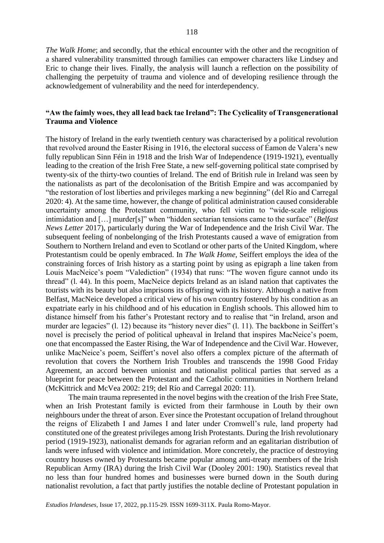*The Walk Home*; and secondly, that the ethical encounter with the other and the recognition of a shared vulnerability transmitted through families can empower characters like Lindsey and Eric to change their lives. Finally, the analysis will launch a reflection on the possibility of challenging the perpetuity of trauma and violence and of developing resilience through the acknowledgement of vulnerability and the need for interdependency.

## **"Aw the faimly woes, they all lead back tae Ireland": The Cyclicality of Transgenerational Trauma and Violence**

The history of Ireland in the early twentieth century was characterised by a political revolution that revolved around the Easter Rising in 1916, the electoral success of Éamon de Valera's new fully republican Sinn Féin in 1918 and the Irish War of Independence (1919-1921), eventually leading to the creation of the Irish Free State, a new self-governing political state comprised by twenty-six of the thirty-two counties of Ireland. The end of British rule in Ireland was seen by the nationalists as part of the decolonisation of the British Empire and was accompanied by "the restoration of lost liberties and privileges marking a new beginning" (del Río and Carregal 2020: 4). At the same time, however, the change of political administration caused considerable uncertainty among the Protestant community, who fell victim to "wide-scale religious intimidation and […] murder[s]" when "hidden sectarian tensions came to the surface" (*Belfast News Letter* 2017), particularly during the War of Independence and the Irish Civil War. The subsequent feeling of nonbelonging of the Irish Protestants caused a wave of emigration from Southern to Northern Ireland and even to Scotland or other parts of the United Kingdom, where Protestantism could be openly embraced. In *The Walk Home*, Seiffert employs the idea of the constraining forces of Irish history as a starting point by using as epigraph a line taken from Louis MacNeice's poem "Valediction" (1934) that runs: "The woven figure cannot undo its thread" (l. 44). In this poem, MacNeice depicts Ireland as an island nation that captivates the tourists with its beauty but also imprisons its offspring with its history. Although a native from Belfast, MacNeice developed a critical view of his own country fostered by his condition as an expatriate early in his childhood and of his education in English schools. This allowed him to distance himself from his father's Protestant rectory and to realise that "in Ireland, arson and murder are legacies" (l. 12) because its "history never dies" (l. 11). The backbone in Seiffert's novel is precisely the period of political upheaval in Ireland that inspires MacNeice's poem, one that encompassed the Easter Rising, the War of Independence and the Civil War. However, unlike MacNeice's poem, Seiffert's novel also offers a complex picture of the aftermath of revolution that covers the Northern Irish Troubles and transcends the 1998 Good Friday Agreement, an accord between unionist and nationalist political parties that served as a blueprint for peace between the Protestant and the Catholic communities in Northern Ireland (McKittrick and McVea 2002: 219; del Río and Carregal 2020: 11).

The main trauma represented in the novel begins with the creation of the Irish Free State, when an Irish Protestant family is evicted from their farmhouse in Louth by their own neighbours under the threat of arson. Ever since the Protestant occupation of Ireland throughout the reigns of Elizabeth I and James I and later under Cromwell's rule, land property had constituted one of the greatest privileges among Irish Protestants. During the Irish revolutionary period (1919-1923), nationalist demands for agrarian reform and an egalitarian distribution of lands were infused with violence and intimidation. More concretely, the practice of destroying country houses owned by Protestants became popular among anti-treaty members of the Irish Republican Army (IRA) during the Irish Civil War (Dooley 2001: 190). Statistics reveal that no less than four hundred homes and businesses were burned down in the South during nationalist revolution, a fact that partly justifies the notable decline of Protestant population in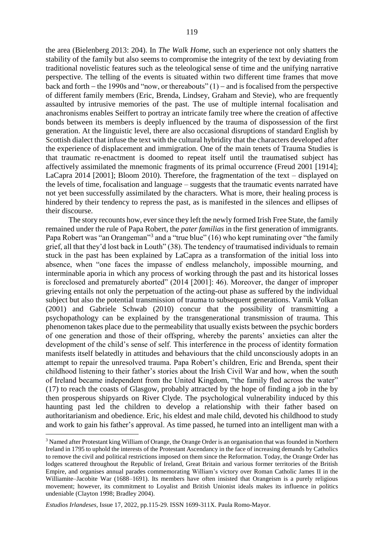the area (Bielenberg 2013: 204). In *The Walk Home*, such an experience not only shatters the stability of the family but also seems to compromise the integrity of the text by deviating from traditional novelistic features such as the teleological sense of time and the unifying narrative perspective. The telling of the events is situated within two different time frames that move back and forth  $-$  the 1990s and "now, or thereabouts" (1)  $-$  and is focalised from the perspective of different family members (Eric, Brenda, Lindsey, Graham and Stevie), who are frequently assaulted by intrusive memories of the past. The use of multiple internal focalisation and anachronisms enables Seiffert to portray an intricate family tree where the creation of affective bonds between its members is deeply influenced by the trauma of dispossession of the first generation. At the linguistic level, there are also occasional disruptions of standard English by Scottish dialect that infuse the text with the cultural hybridity that the characters developed after the experience of displacement and immigration. One of the main tenets of Trauma Studies is that traumatic re-enactment is doomed to repeat itself until the traumatised subject has affectively assimilated the mnemonic fragments of its primal occurrence (Freud 2001 [1914]; LaCapra 2014 [2001]; Bloom 2010). Therefore, the fragmentation of the text – displayed on the levels of time, focalisation and language – suggests that the traumatic events narrated have not yet been successfully assimilated by the characters. What is more, their healing process is hindered by their tendency to repress the past, as is manifested in the silences and ellipses of their discourse.

The story recounts how, ever since they left the newly formed Irish Free State, the family remained under the rule of Papa Robert, the *pater familias* in the first generation of immigrants. Papa Robert was "an Orangeman"<sup>3</sup> and a "true blue" (16) who kept ruminating over "the family grief, all that they'd lost back in Louth" (38). The tendency of traumatised individuals to remain stuck in the past has been explained by LaCapra as a transformation of the initial loss into absence, when "one faces the impasse of endless melancholy, impossible mourning, and interminable aporia in which any process of working through the past and its historical losses is foreclosed and prematurely aborted" (2014 [2001]: 46). Moreover, the danger of improper grieving entails not only the perpetuation of the acting-out phase as suffered by the individual subject but also the potential transmission of trauma to subsequent generations. Vamik Volkan (2001) and Gabriele Schwab (2010) concur that the possibility of transmitting a psychopathology can be explained by the transgenerational transmission of trauma. This phenomenon takes place due to the permeability that usually exists between the psychic borders of one generation and those of their offspring, whereby the parents' anxieties can alter the development of the child's sense of self. This interference in the process of identity formation manifests itself belatedly in attitudes and behaviours that the child unconsciously adopts in an attempt to repair the unresolved trauma. Papa Robert's children, Eric and Brenda, spent their childhood listening to their father's stories about the Irish Civil War and how, when the south of Ireland became independent from the United Kingdom, "the family fled across the water" (17) to reach the coasts of Glasgow, probably attracted by the hope of finding a job in the by then prosperous shipyards on River Clyde. The psychological vulnerability induced by this haunting past led the children to develop a relationship with their father based on authoritarianism and obedience. Eric, his eldest and male child, devoted his childhood to study and work to gain his father's approval. As time passed, he turned into an intelligent man with a

 $\overline{a}$ 

<sup>3</sup> Named after Protestant king William of Orange, the Orange Order is an organisation that was founded in Northern Ireland in 1795 to uphold the interests of the Protestant Ascendancy in the face of increasing demands by Catholics to remove the civil and political restrictions imposed on them since the Reformation. Today, the Orange Order has lodges scattered throughout the Republic of Ireland, Great Britain and various former territories of the British Empire, and organises annual parades commemorating William's victory over Roman Catholic James II in the Williamite–Jacobite War (1688–1691). Its members have often insisted that Orangeism is a purely religious movement; however, its commitment to Loyalist and British Unionist ideals makes its influence in politics undeniable (Clayton 1998; Bradley 2004).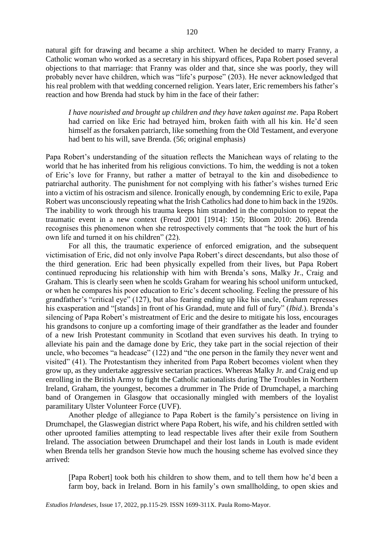natural gift for drawing and became a ship architect. When he decided to marry Franny, a Catholic woman who worked as a secretary in his shipyard offices, Papa Robert posed several objections to that marriage: that Franny was older and that, since she was poorly, they will probably never have children, which was "life's purpose" (203). He never acknowledged that his real problem with that wedding concerned religion. Years later, Eric remembers his father's reaction and how Brenda had stuck by him in the face of their father:

*I have nourished and brought up children and they have taken against me*. Papa Robert had carried on like Eric had betrayed him, broken faith with all his kin. He'd seen himself as the forsaken patriarch, like something from the Old Testament, and everyone had bent to his will, save Brenda. (56; original emphasis)

Papa Robert's understanding of the situation reflects the Manichean ways of relating to the world that he has inherited from his religious convictions. To him, the wedding is not a token of Eric's love for Franny, but rather a matter of betrayal to the kin and disobedience to patriarchal authority. The punishment for not complying with his father's wishes turned Eric into a victim of his ostracism and silence. Ironically enough, by condemning Eric to exile, Papa Robert was unconsciously repeating what the Irish Catholics had done to him back in the 1920s. The inability to work through his trauma keeps him stranded in the compulsion to repeat the traumatic event in a new context (Freud 2001 [1914]: 150; Bloom 2010: 206). Brenda recognises this phenomenon when she retrospectively comments that "he took the hurt of his own life and turned it on his children" (22).

For all this, the traumatic experience of enforced emigration, and the subsequent victimisation of Eric, did not only involve Papa Robert's direct descendants, but also those of the third generation. Eric had been physically expelled from their lives, but Papa Robert continued reproducing his relationship with him with Brenda's sons, Malky Jr., Craig and Graham. This is clearly seen when he scolds Graham for wearing his school uniform untucked, or when he compares his poor education to Eric's decent schooling. Feeling the pressure of his grandfather's "critical eye" (127), but also fearing ending up like his uncle, Graham represses his exasperation and "[stands] in front of his Grandad, mute and full of fury" (*Ibid*.). Brenda's silencing of Papa Robert's mistreatment of Eric and the desire to mitigate his loss, encourages his grandsons to conjure up a comforting image of their grandfather as the leader and founder of a new Irish Protestant community in Scotland that even survives his death. In trying to alleviate his pain and the damage done by Eric, they take part in the social rejection of their uncle, who becomes "a headcase" (122) and "the one person in the family they never went and visited" (41). The Protestantism they inherited from Papa Robert becomes violent when they grow up, as they undertake aggressive sectarian practices. Whereas Malky Jr. and Craig end up enrolling in the British Army to fight the Catholic nationalists during The Troubles in Northern Ireland, Graham, the youngest, becomes a drummer in The Pride of Drumchapel, a marching band of Orangemen in Glasgow that occasionally mingled with members of the loyalist paramilitary Ulster Volunteer Force (UVF).

Another pledge of allegiance to Papa Robert is the family's persistence on living in Drumchapel, the Glaswegian district where Papa Robert, his wife, and his children settled with other uprooted families attempting to lead respectable lives after their exile from Southern Ireland. The association between Drumchapel and their lost lands in Louth is made evident when Brenda tells her grandson Stevie how much the housing scheme has evolved since they arrived:

[Papa Robert] took both his children to show them, and to tell them how he'd been a farm boy, back in Ireland. Born in his family's own smallholding, to open skies and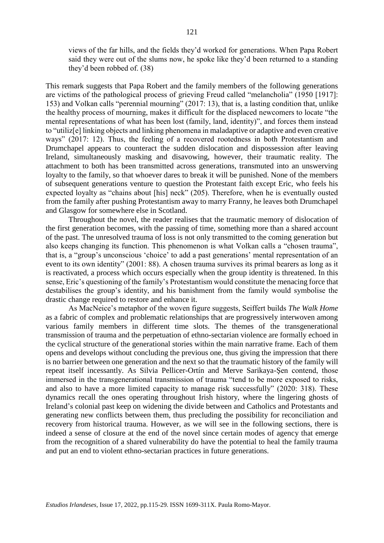views of the far hills, and the fields they'd worked for generations. When Papa Robert said they were out of the slums now, he spoke like they'd been returned to a standing they'd been robbed of. (38)

This remark suggests that Papa Robert and the family members of the following generations are victims of the pathological process of grieving Freud called "melancholia" (1950 [1917]: 153) and Volkan calls "perennial mourning" (2017: 13), that is, a lasting condition that, unlike the healthy process of mourning, makes it difficult for the displaced newcomers to locate "the mental representations of what has been lost (family, land, identity)", and forces them instead to "utiliz[e] linking objects and linking phenomena in maladaptive or adaptive and even creative ways" (2017: 12). Thus, the feeling of a recovered rootedness in both Protestantism and Drumchapel appears to counteract the sudden dislocation and dispossession after leaving Ireland, simultaneously masking and disavowing, however, their traumatic reality. The attachment to both has been transmitted across generations, transmuted into an unswerving loyalty to the family, so that whoever dares to break it will be punished. None of the members of subsequent generations venture to question the Protestant faith except Eric, who feels his expected loyalty as "chains about [his] neck" (205). Therefore, when he is eventually ousted from the family after pushing Protestantism away to marry Franny, he leaves both Drumchapel and Glasgow for somewhere else in Scotland.

Throughout the novel, the reader realises that the traumatic memory of dislocation of the first generation becomes, with the passing of time, something more than a shared account of the past. The unresolved trauma of loss is not only transmitted to the coming generation but also keeps changing its function. This phenomenon is what Volkan calls a "chosen trauma", that is, a "group's unconscious 'choice' to add a past generations' mental representation of an event to its own identity" (2001: 88). A chosen trauma survives its primal bearers as long as it is reactivated, a process which occurs especially when the group identity is threatened. In this sense, Eric's questioning of the family's Protestantism would constitute the menacing force that destabilises the group's identity, and his banishment from the family would symbolise the drastic change required to restore and enhance it.

As MacNeice's metaphor of the woven figure suggests, Seiffert builds *The Walk Home* as a fabric of complex and problematic relationships that are progressively interwoven among various family members in different time slots. The themes of the transgenerational transmission of trauma and the perpetuation of ethno-sectarian violence are formally echoed in the cyclical structure of the generational stories within the main narrative frame. Each of them opens and develops without concluding the previous one, thus giving the impression that there is no barrier between one generation and the next so that the traumatic history of the family will repeat itself incessantly. As Silvia Pellicer-Ortín and Merve Sarikaya-Şen contend, those immersed in the transgenerational transmission of trauma "tend to be more exposed to risks, and also to have a more limited capacity to manage risk successfully" (2020: 318). These dynamics recall the ones operating throughout Irish history, where the lingering ghosts of Ireland's colonial past keep on widening the divide between and Catholics and Protestants and generating new conflicts between them, thus precluding the possibility for reconciliation and recovery from historical trauma. However, as we will see in the following sections, there is indeed a sense of closure at the end of the novel since certain modes of agency that emerge from the recognition of a shared vulnerability do have the potential to heal the family trauma and put an end to violent ethno-sectarian practices in future generations.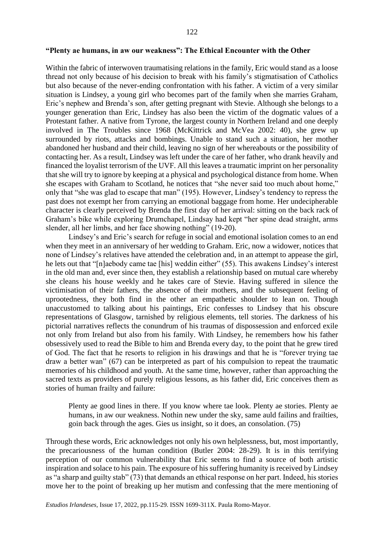#### **"Plenty ae humans, in aw our weakness": The Ethical Encounter with the Other**

Within the fabric of interwoven traumatising relations in the family, Eric would stand as a loose thread not only because of his decision to break with his family's stigmatisation of Catholics but also because of the never-ending confrontation with his father. A victim of a very similar situation is Lindsey, a young girl who becomes part of the family when she marries Graham, Eric's nephew and Brenda's son, after getting pregnant with Stevie. Although she belongs to a younger generation than Eric, Lindsey has also been the victim of the dogmatic values of a Protestant father. A native from Tyrone, the largest county in Northern Ireland and one deeply involved in The Troubles since 1968 (McKittrick and McVea 2002: 40), she grew up surrounded by riots, attacks and bombings. Unable to stand such a situation, her mother abandoned her husband and their child, leaving no sign of her whereabouts or the possibility of contacting her. As a result, Lindsey was left under the care of her father, who drank heavily and financed the loyalist terrorism of the UVF. All this leaves a traumatic imprint on her personality that she will try to ignore by keeping at a physical and psychological distance from home. When she escapes with Graham to Scotland, he notices that "she never said too much about home," only that "she was glad to escape that man" (195). However, Lindsey's tendency to repress the past does not exempt her from carrying an emotional baggage from home. Her undecipherable character is clearly perceived by Brenda the first day of her arrival: sitting on the back rack of Graham's bike while exploring Drumchapel, Lindsay had kept "her spine dead straight, arms slender, all her limbs, and her face showing nothing" (19-20).

Lindsey's and Eric's search for refuge in social and emotional isolation comes to an end when they meet in an anniversary of her wedding to Graham. Eric, now a widower, notices that none of Lindsey's relatives have attended the celebration and, in an attempt to appease the girl, he lets out that "[n]aebody came tae [his] weddin either" (55). This awakens Lindsey's interest in the old man and, ever since then, they establish a relationship based on mutual care whereby she cleans his house weekly and he takes care of Stevie. Having suffered in silence the victimisation of their fathers, the absence of their mothers, and the subsequent feeling of uprootedness, they both find in the other an empathetic shoulder to lean on. Though unaccustomed to talking about his paintings, Eric confesses to Lindsey that his obscure representations of Glasgow, tarnished by religious elements, tell stories. The darkness of his pictorial narratives reflects the conundrum of his traumas of dispossession and enforced exile not only from Ireland but also from his family. With Lindsey, he remembers how his father obsessively used to read the Bible to him and Brenda every day, to the point that he grew tired of God. The fact that he resorts to religion in his drawings and that he is "forever trying tae draw a better wan" (67) can be interpreted as part of his compulsion to repeat the traumatic memories of his childhood and youth. At the same time, however, rather than approaching the sacred texts as providers of purely religious lessons, as his father did, Eric conceives them as stories of human frailty and failure:

Plenty ae good lines in there. If you know where tae look. Plenty ae stories. Plenty ae humans, in aw our weakness. Nothin new under the sky, same auld failins and frailties, goin back through the ages. Gies us insight, so it does, an consolation. (75)

Through these words, Eric acknowledges not only his own helplessness, but, most importantly, the precariousness of the human condition (Butler 2004: 28-29). It is in this terrifying perception of our common vulnerability that Eric seems to find a source of both artistic inspiration and solace to his pain. The exposure of his suffering humanity is received by Lindsey as "a sharp and guilty stab" (73) that demands an ethical response on her part. Indeed, his stories move her to the point of breaking up her mutism and confessing that the mere mentioning of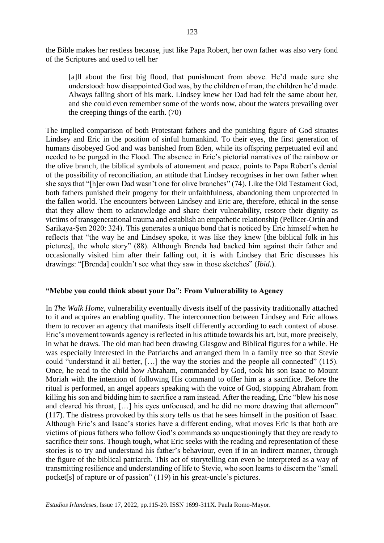the Bible makes her restless because, just like Papa Robert, her own father was also very fond of the Scriptures and used to tell her

[a]ll about the first big flood, that punishment from above. He'd made sure she understood: how disappointed God was, by the children of man, the children he'd made. Always falling short of his mark. Lindsey knew her Dad had felt the same about her, and she could even remember some of the words now, about the waters prevailing over the creeping things of the earth. (70)

The implied comparison of both Protestant fathers and the punishing figure of God situates Lindsey and Eric in the position of sinful humankind. To their eyes, the first generation of humans disobeyed God and was banished from Eden, while its offspring perpetuated evil and needed to be purged in the Flood. The absence in Eric's pictorial narratives of the rainbow or the olive branch, the biblical symbols of atonement and peace, points to Papa Robert's denial of the possibility of reconciliation, an attitude that Lindsey recognises in her own father when she says that "[h]er own Dad wasn't one for olive branches" (74). Like the Old Testament God, both fathers punished their progeny for their unfaithfulness, abandoning them unprotected in the fallen world. The encounters between Lindsey and Eric are, therefore, ethical in the sense that they allow them to acknowledge and share their vulnerability, restore their dignity as victims of transgenerational trauma and establish an empathetic relationship (Pellicer-Ortín and Sarikaya-Şen 2020: 324). This generates a unique bond that is noticed by Eric himself when he reflects that "the way he and Lindsey spoke, it was like they knew [the biblical folk in his pictures], the whole story" (88). Although Brenda had backed him against their father and occasionally visited him after their falling out, it is with Lindsey that Eric discusses his drawings: "[Brenda] couldn't see what they saw in those sketches" (*Ibid*.).

#### **"Mebbe you could think about your Da": From Vulnerability to Agency**

In *The Walk Home*, vulnerability eventually divests itself of the passivity traditionally attached to it and acquires an enabling quality. The interconnection between Lindsey and Eric allows them to recover an agency that manifests itself differently according to each context of abuse. Eric's movement towards agency is reflected in his attitude towards his art, but, more precisely, in what he draws. The old man had been drawing Glasgow and Biblical figures for a while. He was especially interested in the Patriarchs and arranged them in a family tree so that Stevie could "understand it all better, […] the way the stories and the people all connected" (115). Once, he read to the child how Abraham, commanded by God, took his son Isaac to Mount Moriah with the intention of following His command to offer him as a sacrifice. Before the ritual is performed, an angel appears speaking with the voice of God, stopping Abraham from killing his son and bidding him to sacrifice a ram instead. After the reading, Eric "blew his nose and cleared his throat, […] his eyes unfocused, and he did no more drawing that afternoon" (117). The distress provoked by this story tells us that he sees himself in the position of Isaac. Although Eric's and Isaac's stories have a different ending, what moves Eric is that both are victims of pious fathers who follow God's commands so unquestioningly that they are ready to sacrifice their sons. Though tough, what Eric seeks with the reading and representation of these stories is to try and understand his father's behaviour, even if in an indirect manner, through the figure of the biblical patriarch. This act of storytelling can even be interpreted as a way of transmitting resilience and understanding of life to Stevie, who soon learns to discern the "small pocket[s] of rapture or of passion" (119) in his great-uncle's pictures.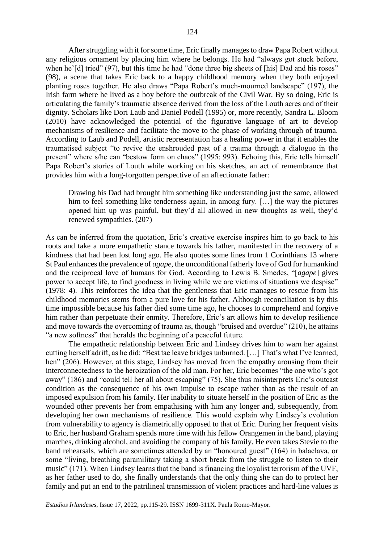After struggling with it for some time, Eric finally manages to draw Papa Robert without any religious ornament by placing him where he belongs. He had "always got stuck before, when he'[d] tried" (97), but this time he had "done three big sheets of [his] Dad and his roses" (98), a scene that takes Eric back to a happy childhood memory when they both enjoyed planting roses together. He also draws "Papa Robert's much-mourned landscape" (197), the Irish farm where he lived as a boy before the outbreak of the Civil War. By so doing, Eric is articulating the family's traumatic absence derived from the loss of the Louth acres and of their dignity. Scholars like Dori Laub and Daniel Podell (1995) or, more recently, Sandra L. Bloom (2010) have acknowledged the potential of the figurative language of art to develop mechanisms of resilience and facilitate the move to the phase of working through of trauma. According to Laub and Podell, artistic representation has a healing power in that it enables the traumatised subject "to revive the enshrouded past of a trauma through a dialogue in the present" where s/he can "bestow form on chaos" (1995: 993). Echoing this, Eric tells himself Papa Robert's stories of Louth while working on his sketches, an act of remembrance that provides him with a long-forgotten perspective of an affectionate father:

Drawing his Dad had brought him something like understanding just the same, allowed him to feel something like tenderness again, in among fury. [...] the way the pictures opened him up was painful, but they'd all allowed in new thoughts as well, they'd renewed sympathies. (207)

As can be inferred from the quotation, Eric's creative exercise inspires him to go back to his roots and take a more empathetic stance towards his father, manifested in the recovery of a kindness that had been lost long ago. He also quotes some lines from 1 Corinthians 13 where St Paul enhances the prevalence of *agape*, the unconditional fatherly love of God for humankind and the reciprocal love of humans for God. According to Lewis B. Smedes, "[*agape*] gives power to accept life, to find goodness in living while we are victims of situations we despise" (1978: 4). This reinforces the idea that the gentleness that Eric manages to rescue from his childhood memories stems from a pure love for his father. Although reconciliation is by this time impossible because his father died some time ago, he chooses to comprehend and forgive him rather than perpetuate their enmity. Therefore, Eric's art allows him to develop resilience and move towards the overcoming of trauma as, though "bruised and overdue" (210), he attains "a new softness" that heralds the beginning of a peaceful future.

The empathetic relationship between Eric and Lindsey drives him to warn her against cutting herself adrift, as he did: "Best tae leave bridges unburned. […] That's what I've learned, hen" (206). However, at this stage, Lindsey has moved from the empathy arousing from their interconnectedness to the heroization of the old man. For her, Eric becomes "the one who's got away" (186) and "could tell her all about escaping" (75). She thus misinterprets Eric's outcast condition as the consequence of his own impulse to escape rather than as the result of an imposed expulsion from his family. Her inability to situate herself in the position of Eric as the wounded other prevents her from empathising with him any longer and, subsequently, from developing her own mechanisms of resilience. This would explain why Lindsey's evolution from vulnerability to agency is diametrically opposed to that of Eric. During her frequent visits to Eric, her husband Graham spends more time with his fellow Orangemen in the band, playing marches, drinking alcohol, and avoiding the company of his family. He even takes Stevie to the band rehearsals, which are sometimes attended by an "honoured guest" (164) in balaclava, or some "living, breathing paramilitary taking a short break from the struggle to listen to their music" (171). When Lindsey learns that the band is financing the loyalist terrorism of the UVF, as her father used to do, she finally understands that the only thing she can do to protect her family and put an end to the patrilineal transmission of violent practices and hard-line values is

*Estudios Irlandeses*, Issue 17, 2022, pp.115-29. ISSN 1699-311X. Paula Romo-Mayor.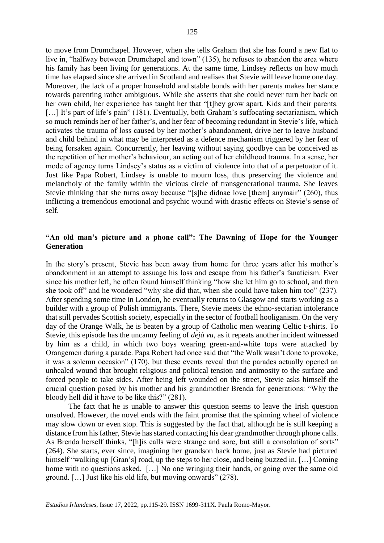to move from Drumchapel. However, when she tells Graham that she has found a new flat to live in, "halfway between Drumchapel and town" (135), he refuses to abandon the area where his family has been living for generations. At the same time, Lindsey reflects on how much time has elapsed since she arrived in Scotland and realises that Stevie will leave home one day. Moreover, the lack of a proper household and stable bonds with her parents makes her stance towards parenting rather ambiguous. While she asserts that she could never turn her back on her own child, her experience has taught her that "[t]hey grow apart. Kids and their parents. [...] It's part of life's pain" (181). Eventually, both Graham's suffocating sectarianism, which so much reminds her of her father's, and her fear of becoming redundant in Stevie's life, which activates the trauma of loss caused by her mother's abandonment, drive her to leave husband and child behind in what may be interpreted as a defence mechanism triggered by her fear of being forsaken again. Concurrently, her leaving without saying goodbye can be conceived as the repetition of her mother's behaviour, an acting out of her childhood trauma. In a sense, her mode of agency turns Lindsey's status as a victim of violence into that of a perpetuator of it. Just like Papa Robert, Lindsey is unable to mourn loss, thus preserving the violence and melancholy of the family within the vicious circle of transgenerational trauma. She leaves Stevie thinking that she turns away because "[s]he didnae love [them] anymair" (260), thus inflicting a tremendous emotional and psychic wound with drastic effects on Stevie's sense of self.

# **"An old man's picture and a phone call": The Dawning of Hope for the Younger Generation**

In the story's present, Stevie has been away from home for three years after his mother's abandonment in an attempt to assuage his loss and escape from his father's fanaticism. Ever since his mother left, he often found himself thinking "how she let him go to school, and then she took off" and he wondered "why she did that, when she could have taken him too" (237). After spending some time in London, he eventually returns to Glasgow and starts working as a builder with a group of Polish immigrants. There, Stevie meets the ethno-sectarian intolerance that still pervades Scottish society, especially in the sector of football hooliganism. On the very day of the Orange Walk, he is beaten by a group of Catholic men wearing Celtic t-shirts. To Stevie, this episode has the uncanny feeling of *dejà vu*, as it repeats another incident witnessed by him as a child, in which two boys wearing green-and-white tops were attacked by Orangemen during a parade. Papa Robert had once said that "the Walk wasn't done to provoke, it was a solemn occasion" (170), but these events reveal that the parades actually opened an unhealed wound that brought religious and political tension and animosity to the surface and forced people to take sides. After being left wounded on the street, Stevie asks himself the crucial question posed by his mother and his grandmother Brenda for generations: "Why the bloody hell did it have to be like this?" (281).

The fact that he is unable to answer this question seems to leave the Irish question unsolved. However, the novel ends with the faint promise that the spinning wheel of violence may slow down or even stop. This is suggested by the fact that, although he is still keeping a distance from his father, Stevie has started contacting his dear grandmother through phone calls. As Brenda herself thinks, "[h]is calls were strange and sore, but still a consolation of sorts" (264). She starts, ever since, imagining her grandson back home, just as Stevie had pictured himself "walking up [Gran's] road, up the steps to her close, and being buzzed in. [...] Coming home with no questions asked. [...] No one wringing their hands, or going over the same old ground. […] Just like his old life, but moving onwards" (278).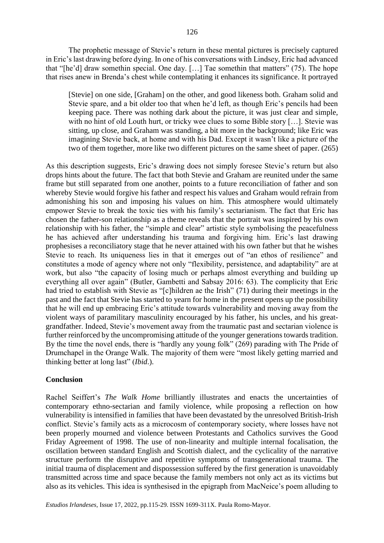The prophetic message of Stevie's return in these mental pictures is precisely captured in Eric's last drawing before dying. In one of his conversations with Lindsey, Eric had advanced that "[he'd] draw somethin special. One day. […] Tae somethin that matters" (75). The hope that rises anew in Brenda's chest while contemplating it enhances its significance. It portrayed

[Stevie] on one side, [Graham] on the other, and good likeness both. Graham solid and Stevie spare, and a bit older too that when he'd left, as though Eric's pencils had been keeping pace. There was nothing dark about the picture, it was just clear and simple, with no hint of old Louth hurt, or tricky wee clues to some Bible story […]. Stevie was sitting, up close, and Graham was standing, a bit more in the background; like Eric was imagining Stevie back, at home and with his Dad. Except it wasn't like a picture of the two of them together, more like two different pictures on the same sheet of paper. (265)

As this description suggests, Eric's drawing does not simply foresee Stevie's return but also drops hints about the future. The fact that both Stevie and Graham are reunited under the same frame but still separated from one another, points to a future reconciliation of father and son whereby Stevie would forgive his father and respect his values and Graham would refrain from admonishing his son and imposing his values on him. This atmosphere would ultimately empower Stevie to break the toxic ties with his family's sectarianism. The fact that Eric has chosen the father-son relationship as a theme reveals that the portrait was inspired by his own relationship with his father, the "simple and clear" artistic style symbolising the peacefulness he has achieved after understanding his trauma and forgiving him. Eric's last drawing prophesises a reconciliatory stage that he never attained with his own father but that he wishes Stevie to reach. Its uniqueness lies in that it emerges out of "an ethos of resilience" and constitutes a mode of agency where not only "flexibility, persistence, and adaptability" are at work, but also "the capacity of losing much or perhaps almost everything and building up everything all over again" (Butler, Gambetti and Sabsay 2016: 63). The complicity that Eric had tried to establish with Stevie as "[c]hildren ae the Irish" (71) during their meetings in the past and the fact that Stevie has started to yearn for home in the present opens up the possibility that he will end up embracing Eric's attitude towards vulnerability and moving away from the violent ways of paramilitary masculinity encouraged by his father, his uncles, and his greatgrandfather. Indeed, Stevie's movement away from the traumatic past and sectarian violence is further reinforced by the uncompromising attitude of the younger generations towards tradition. By the time the novel ends, there is "hardly any young folk" (269) parading with The Pride of Drumchapel in the Orange Walk. The majority of them were "most likely getting married and thinking better at long last" (*Ibid*.).

## **Conclusion**

Rachel Seiffert's *The Walk Home* brilliantly illustrates and enacts the uncertainties of contemporary ethno-sectarian and family violence, while proposing a reflection on how vulnerability is intensified in families that have been devastated by the unresolved British-Irish conflict. Stevie's family acts as a microcosm of contemporary society, where losses have not been properly mourned and violence between Protestants and Catholics survives the Good Friday Agreement of 1998. The use of non-linearity and multiple internal focalisation, the oscillation between standard English and Scottish dialect, and the cyclicality of the narrative structure perform the disruptive and repetitive symptoms of transgenerational trauma. The initial trauma of displacement and dispossession suffered by the first generation is unavoidably transmitted across time and space because the family members not only act as its victims but also as its vehicles. This idea is synthesised in the epigraph from MacNeice's poem alluding to

*Estudios Irlandeses*, Issue 17, 2022, pp.115-29. ISSN 1699-311X. Paula Romo-Mayor.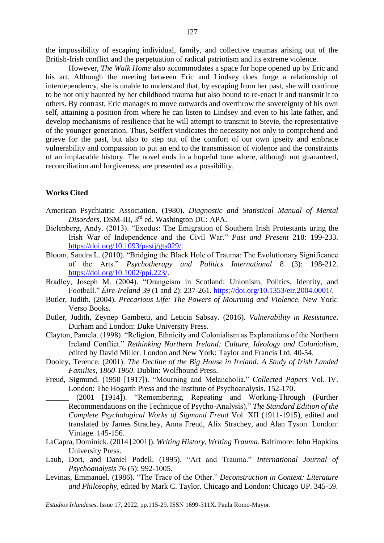the impossibility of escaping individual, family, and collective traumas arising out of the British-Irish conflict and the perpetuation of radical patriotism and its extreme violence.

However, *The Walk Home* also accommodates a space for hope opened up by Eric and his art. Although the meeting between Eric and Lindsey does forge a relationship of interdependency, she is unable to understand that, by escaping from her past, she will continue to be not only haunted by her childhood trauma but also bound to re-enact it and transmit it to others. By contrast, Eric manages to move outwards and overthrow the sovereignty of his own self, attaining a position from where he can listen to Lindsey and even to his late father, and develop mechanisms of resilience that he will attempt to transmit to Stevie, the representative of the younger generation. Thus, Seiffert vindicates the necessity not only to comprehend and grieve for the past, but also to step out of the comfort of our own ipseity and embrace vulnerability and compassion to put an end to the transmission of violence and the constraints of an implacable history. The novel ends in a hopeful tone where, although not guaranteed, reconciliation and forgiveness, are presented as a possibility.

#### **Works Cited**

- American Psychiatric Association. (1980). *Diagnostic and Statistical Manual of Mental Disorders*. DSM-III, 3rd ed. Washington DC: APA.
- Bielenberg, Andy. (2013). "Exodus: The Emigration of Southern Irish Protestants uring the Irish War of Independence and the Civil War." *Past and Present* 218: 199-233. [https://doi.org/10.1093/pastj/gts029/.](https://doi.org/10.1093/pastj/gts029/)
- Bloom, Sandra L. (2010). "Bridging the Black Hole of Trauma: The Evolutionary Significance of the Arts." *Psychotherapy and Politics International* 8 (3): 198-212. [https://doi.org/10.1002/ppi.223/](https://doi.org/10.1002/ppi.223).
- Bradley, Joseph M. (2004). "Orangeism in Scotland: Unionism, Politics, Identity, and Football." *Éire-Ireland* 39 (1 and 2): 237-261. [https://doi.org/10.1353/eir.2004.0001/](https://doi.org/10.1353/eir.2004.0001).
- Butler, Judith. (2004). *Precarious Life: The Powers of Mourning and Violence*. New York: Verso Books.
- Butler, Judith, Zeynep Gambetti, and Leticia Sabsay. (2016). *Vulnerability in Resistance*. Durham and London: Duke University Press.
- Clayton, Pamela. (1998). "Religion, Ethnicity and Colonialism as Explanations of the Northern Ireland Conflict." *Rethinking Northern Ireland: Culture, Ideology and Colonialism*, edited by David Miller. London and New York: Taylor and Francis Ltd. 40-54.
- Dooley, Terence. (2001). *The Decline of the Big House in Ireland: A Study of Irish Landed Families, 1860-1960*. Dublin: Wolfhound Press.
- Freud, Sigmund. (1950 [1917]). "Mourning and Melancholia." *Collected Papers* Vol. IV. London: The Hogarth Press and the Institute of Psychoanalysis. 152-170.
- \_\_\_\_\_\_ (2001 [1914]). "Remembering, Repeating and Working-Through (Further Recommendations on the Technique of Psycho-Analysis)." *The Standard Edition of the Complete Psychological Works of Sigmund Freud* Vol. XII (1911-1915), edited and translated by James Strachey, Anna Freud, Alix Strachey, and Alan Tyson. London: Vintage. 145-156.
- LaCapra, Dominick. (2014 [2001]). *Writing History, Writing Trauma*. Baltimore: John Hopkins University Press.
- Laub, Dori, and Daniel Podell. (1995). "Art and Trauma." *International Journal of Psychoanalysis* 76 (5): 992-1005.
- Levinas, Emmanuel. (1986). "The Trace of the Other." *Deconstruction in Context: Literature and Philosophy*, edited by Mark C. Taylor. Chicago and London: Chicago UP. 345-59.

*Estudios Irlandeses*, Issue 17, 2022, pp.115-29. ISSN 1699-311X. Paula Romo-Mayor.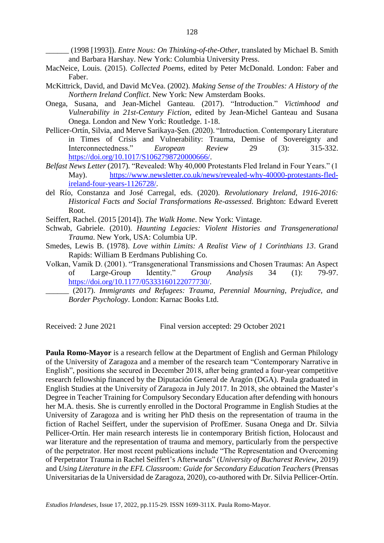\_\_\_\_\_\_ (1998 [1993]). *Entre Nous: On Thinking-of-the-Other*, translated by Michael B. Smith and Barbara Harshay. New York: Columbia University Press.

- MacNeice, Louis. (2015). *Collected Poems*, edited by Peter McDonald. London: Faber and Faber.
- McKittrick, David, and David McVea. (2002). *Making Sense of the Troubles: A History of the Northern Ireland Conflict*. New York: New Amsterdam Books.
- Onega, Susana, and Jean-Michel Ganteau. (2017). "Introduction." *Victimhood and Vulnerability in 21st-Century Fiction*, edited by Jean-Michel Ganteau and Susana Onega. London and New York: Routledge. 1-18.
- Pellicer-Ortín, Silvia, and Merve Sarikaya-Şen. (2020). "Introduction. Contemporary Literature in Times of Crisis and Vulnerability: Trauma, Demise of Sovereignty and Interconnectedness." *European Review* 29 (3): 315-332. [https://doi.org/10.1017/S1062798720000666/](https://doi.org/10.1017/S1062798720000666).
- *Belfast News Letter* (2017)*.* "Revealed: Why 40,000 Protestants Fled Ireland in Four Years." (1 May). [https://www.newsletter.co.uk/news/revealed-why-40000-protestants-fled](https://www.newsletter.co.uk/news/revealed-why-40000-protestants-fled-ireland-four-years-1126728/)[ireland-four-years-1126728/.](https://www.newsletter.co.uk/news/revealed-why-40000-protestants-fled-ireland-four-years-1126728/)
- del Río, Constanza and José Carregal, eds. (2020). *Revolutionary Ireland, 1916-2016: Historical Facts and Social Transformations Re-assessed*. Brighton: Edward Everett Root.
- Seiffert, Rachel. (2015 [2014]). *The Walk Home*. New York: Vintage.
- Schwab, Gabriele. (2010). *Haunting Legacies: Violent Histories and Transgenerational Trauma*. New York, USA: Columbia UP.
- Smedes, Lewis B. (1978). *Love within Limits: A Realist View of 1 Corinthians 13*. Grand Rapids: William B Eerdmans Publishing Co.
- Volkan, Vamik D. (2001). "Transgenerational Transmissions and Chosen Traumas: An Aspect of Large-Group Identity." *Group Analysis* 34 (1): 79-97. [https://doi.org/10.1177/05333160122077730/](https://doi.org/10.1177/05333160122077730).
	- \_\_\_\_\_\_ (2017). *Immigrants and Refugees: Trauma, Perennial Mourning, Prejudice, and Border Psychology*. London: Karnac Books Ltd.

Received: 2 June 2021 Final version accepted: 29 October 2021

**Paula Romo-Mayor** is a research fellow at the Department of English and German Philology of the University of Zaragoza and a member of the research team "Contemporary Narrative in English", positions she secured in December 2018, after being granted a four-year competitive research fellowship financed by the Diputación General de Aragón (DGA). Paula graduated in English Studies at the University of Zaragoza in July 2017. In 2018, she obtained the Master's Degree in Teacher Training for Compulsory Secondary Education after defending with honours her M.A. thesis. She is currently enrolled in the Doctoral Programme in English Studies at the University of Zaragoza and is writing her PhD thesis on the representation of trauma in the fiction of Rachel Seiffert, under the supervision of ProfEmer. Susana Onega and Dr. Silvia Pellicer-Ortín. Her main research interests lie in contemporary British fiction, Holocaust and war literature and the representation of trauma and memory, particularly from the perspective of the perpetrator. Her most recent publications include "The Representation and Overcoming of Perpetrator Trauma in Rachel Seiffert's Afterwards" (*University of Bucharest Review*, 2019) and *Using Literature in the EFL Classroom: Guide for Secondary Education Teachers* (Prensas Universitarias de la Universidad de Zaragoza, 2020), co-authored with Dr. Silvia Pellicer-Ortín.